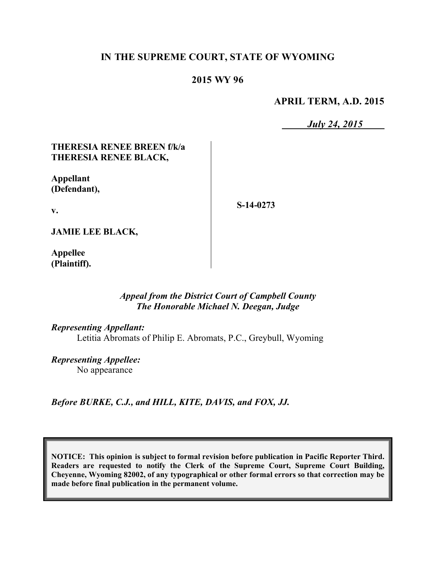# **IN THE SUPREME COURT, STATE OF WYOMING**

## **2015 WY 96**

**APRIL TERM, A.D. 2015**

*July 24, 2015*

### **THERESIA RENEE BREEN f/k/a THERESIA RENEE BLACK,**

**Appellant (Defendant),**

**S-14-0273**

**JAMIE LEE BLACK,**

**v.**

**Appellee (Plaintiff).**

#### *Appeal from the District Court of Campbell County The Honorable Michael N. Deegan, Judge*

#### *Representing Appellant:*

Letitia Abromats of Philip E. Abromats, P.C., Greybull, Wyoming

*Representing Appellee:* No appearance

*Before BURKE, C.J., and HILL, KITE, DAVIS, and FOX, JJ.*

**NOTICE: This opinion is subject to formal revision before publication in Pacific Reporter Third. Readers are requested to notify the Clerk of the Supreme Court, Supreme Court Building, Cheyenne, Wyoming 82002, of any typographical or other formal errors so that correction may be made before final publication in the permanent volume.**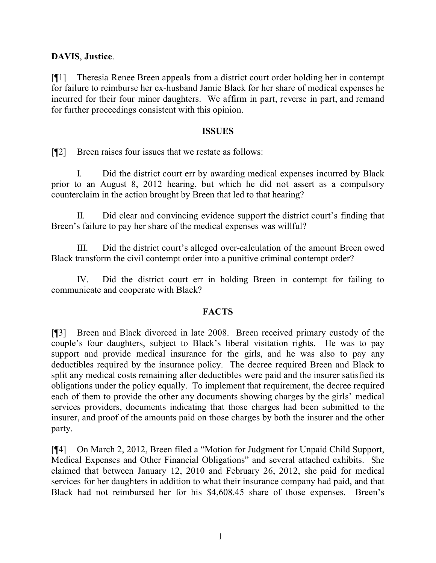## **DAVIS**, **Justice**.

[¶1] Theresia Renee Breen appeals from a district court order holding her in contempt for failure to reimburse her ex-husband Jamie Black for her share of medical expenses he incurred for their four minor daughters. We affirm in part, reverse in part, and remand for further proceedings consistent with this opinion.

#### **ISSUES**

[¶2] Breen raises four issues that we restate as follows:

I. Did the district court err by awarding medical expenses incurred by Black prior to an August 8, 2012 hearing, but which he did not assert as a compulsory counterclaim in the action brought by Breen that led to that hearing?

II. Did clear and convincing evidence support the district court's finding that Breen's failure to pay her share of the medical expenses was willful?

III. Did the district court's alleged over-calculation of the amount Breen owed Black transform the civil contempt order into a punitive criminal contempt order?

IV. Did the district court err in holding Breen in contempt for failing to communicate and cooperate with Black?

### **FACTS**

[¶3] Breen and Black divorced in late 2008. Breen received primary custody of the couple's four daughters, subject to Black's liberal visitation rights. He was to pay support and provide medical insurance for the girls, and he was also to pay any deductibles required by the insurance policy. The decree required Breen and Black to split any medical costs remaining after deductibles were paid and the insurer satisfied its obligations under the policy equally. To implement that requirement, the decree required each of them to provide the other any documents showing charges by the girls' medical services providers, documents indicating that those charges had been submitted to the insurer, and proof of the amounts paid on those charges by both the insurer and the other party.

[¶4] On March 2, 2012, Breen filed a "Motion for Judgment for Unpaid Child Support, Medical Expenses and Other Financial Obligations" and several attached exhibits. She claimed that between January 12, 2010 and February 26, 2012, she paid for medical services for her daughters in addition to what their insurance company had paid, and that Black had not reimbursed her for his \$4,608.45 share of those expenses. Breen's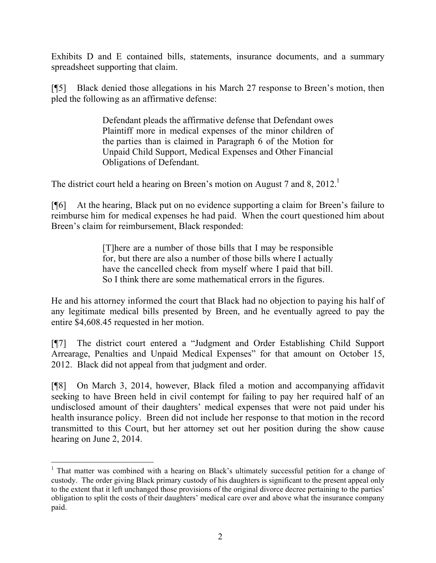Exhibits D and E contained bills, statements, insurance documents, and a summary spreadsheet supporting that claim.

[¶5] Black denied those allegations in his March 27 response to Breen's motion, then pled the following as an affirmative defense:

> Defendant pleads the affirmative defense that Defendant owes Plaintiff more in medical expenses of the minor children of the parties than is claimed in Paragraph 6 of the Motion for Unpaid Child Support, Medical Expenses and Other Financial Obligations of Defendant.

The district court held a hearing on Breen's motion on August 7 and 8, 2012.<sup>1</sup>

[¶6] At the hearing, Black put on no evidence supporting a claim for Breen's failure to reimburse him for medical expenses he had paid. When the court questioned him about Breen's claim for reimbursement, Black responded:

> [T]here are a number of those bills that I may be responsible for, but there are also a number of those bills where I actually have the cancelled check from myself where I paid that bill. So I think there are some mathematical errors in the figures.

He and his attorney informed the court that Black had no objection to paying his half of any legitimate medical bills presented by Breen, and he eventually agreed to pay the entire \$4,608.45 requested in her motion.

[¶7] The district court entered a "Judgment and Order Establishing Child Support Arrearage, Penalties and Unpaid Medical Expenses" for that amount on October 15, 2012. Black did not appeal from that judgment and order.

[¶8] On March 3, 2014, however, Black filed a motion and accompanying affidavit seeking to have Breen held in civil contempt for failing to pay her required half of an undisclosed amount of their daughters' medical expenses that were not paid under his health insurance policy. Breen did not include her response to that motion in the record transmitted to this Court, but her attorney set out her position during the show cause hearing on June 2, 2014.

 <sup>1</sup> That matter was combined with a hearing on Black's ultimately successful petition for a change of custody. The order giving Black primary custody of his daughters is significant to the present appeal only to the extent that it left unchanged those provisions of the original divorce decree pertaining to the parties' obligation to split the costs of their daughters' medical care over and above what the insurance company paid.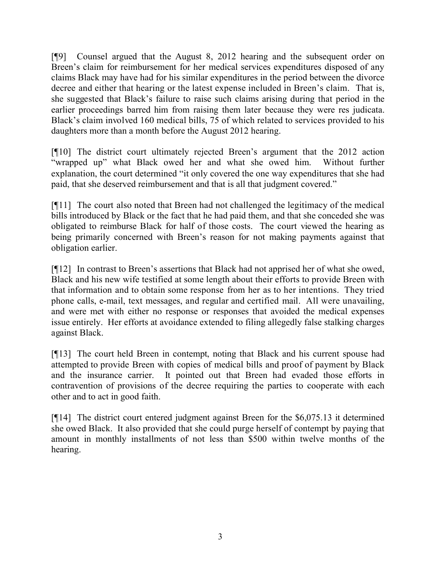[¶9] Counsel argued that the August 8, 2012 hearing and the subsequent order on Breen's claim for reimbursement for her medical services expenditures disposed of any claims Black may have had for his similar expenditures in the period between the divorce decree and either that hearing or the latest expense included in Breen's claim. That is, she suggested that Black's failure to raise such claims arising during that period in the earlier proceedings barred him from raising them later because they were res judicata. Black's claim involved 160 medical bills, 75 of which related to services provided to his daughters more than a month before the August 2012 hearing.

[¶10] The district court ultimately rejected Breen's argument that the 2012 action "wrapped up" what Black owed her and what she owed him. Without further explanation, the court determined "it only covered the one way expenditures that she had paid, that she deserved reimbursement and that is all that judgment covered."

[¶11] The court also noted that Breen had not challenged the legitimacy of the medical bills introduced by Black or the fact that he had paid them, and that she conceded she was obligated to reimburse Black for half of those costs. The court viewed the hearing as being primarily concerned with Breen's reason for not making payments against that obligation earlier.

[¶12] In contrast to Breen's assertions that Black had not apprised her of what she owed, Black and his new wife testified at some length about their efforts to provide Breen with that information and to obtain some response from her as to her intentions. They tried phone calls, e-mail, text messages, and regular and certified mail. All were unavailing, and were met with either no response or responses that avoided the medical expenses issue entirely. Her efforts at avoidance extended to filing allegedly false stalking charges against Black.

[¶13] The court held Breen in contempt, noting that Black and his current spouse had attempted to provide Breen with copies of medical bills and proof of payment by Black and the insurance carrier. It pointed out that Breen had evaded those efforts in contravention of provisions of the decree requiring the parties to cooperate with each other and to act in good faith.

[¶14] The district court entered judgment against Breen for the \$6,075.13 it determined she owed Black. It also provided that she could purge herself of contempt by paying that amount in monthly installments of not less than \$500 within twelve months of the hearing.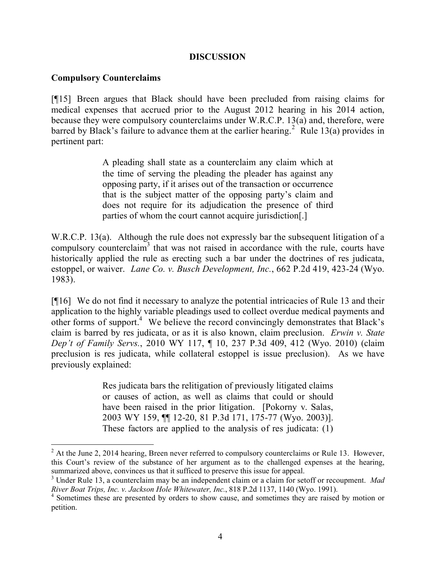#### **DISCUSSION**

#### **Compulsory Counterclaims**

 $\overline{a}$ 

[¶15] Breen argues that Black should have been precluded from raising claims for medical expenses that accrued prior to the August 2012 hearing in his 2014 action, because they were compulsory counterclaims under W.R.C.P. 13(a) and, therefore, were barred by Black's failure to advance them at the earlier hearing.<sup>2</sup> Rule 13(a) provides in pertinent part:

> A pleading shall state as a counterclaim any claim which at the time of serving the pleading the pleader has against any opposing party, if it arises out of the transaction or occurrence that is the subject matter of the opposing party's claim and does not require for its adjudication the presence of third parties of whom the court cannot acquire jurisdiction[.]

W.R.C.P. 13(a). Although the rule does not expressly bar the subsequent litigation of a compulsory counterclaim<sup>3</sup> that was not raised in accordance with the rule, courts have historically applied the rule as erecting such a bar under the doctrines of res judicata, estoppel, or waiver. *Lane Co. v. Busch Development, Inc.*, 662 P.2d 419, 423-24 (Wyo. 1983).

[¶16] We do not find it necessary to analyze the potential intricacies of Rule 13 and their application to the highly variable pleadings used to collect overdue medical payments and other forms of support.<sup>4</sup> We believe the record convincingly demonstrates that Black's claim is barred by res judicata, or as it is also known, claim preclusion. *Erwin v. State Dep't of Family Servs.*, 2010 WY 117, ¶ 10, 237 P.3d 409, 412 (Wyo. 2010) (claim preclusion is res judicata, while collateral estoppel is issue preclusion). As we have previously explained:

> Res judicata bars the relitigation of previously litigated claims or causes of action, as well as claims that could or should have been raised in the prior litigation. [Pokorny v. Salas, 2003 WY 159, ¶¶ 12-20, 81 P.3d 171, 175-77 (Wyo. 2003)]. These factors are applied to the analysis of res judicata: (1)

 $2$  At the June 2, 2014 hearing, Breen never referred to compulsory counterclaims or Rule 13. However, this Court's review of the substance of her argument as to the challenged expenses at the hearing, summarized above, convinces us that it sufficed to preserve this issue for appeal.

<sup>3</sup> Under Rule 13, a counterclaim may be an independent claim or a claim for setoff or recoupment. *Mad River Boat Trips, Inc. v. Jackson Hole Whitewater, Inc.*, 818 P.2d 1137, 1140 (Wyo. 1991).

<sup>&</sup>lt;sup>4</sup> Sometimes these are presented by orders to show cause, and sometimes they are raised by motion or petition.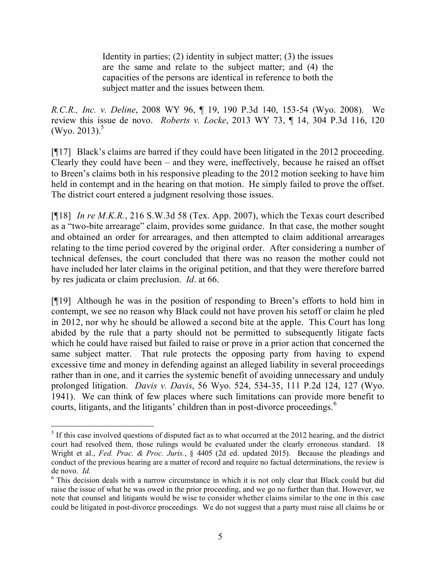Identity in parties; (2) identity in subject matter; (3) the issues are the same and relate to the subject matter; and (4) the capacities of the persons are identical in reference to both the subject matter and the issues between them.

*R.C.R., Inc. v. Deline*, 2008 WY 96, ¶ 19, 190 P.3d 140, 153-54 (Wyo. 2008). We review this issue de novo. *Roberts v. Locke*, 2013 WY 73, ¶ 14, 304 P.3d 116, 120 (Wyo. 2013). $5$ 

[¶17] Black's claims are barred if they could have been litigated in the 2012 proceeding. Clearly they could have been – and they were, ineffectively, because he raised an offset to Breen's claims both in his responsive pleading to the 2012 motion seeking to have him held in contempt and in the hearing on that motion. He simply failed to prove the offset. The district court entered a judgment resolving those issues.

[¶18] *In re M.K.R.*, 216 S.W.3d 58 (Tex. App. 2007), which the Texas court described as a "two-bite arrearage" claim, provides some guidance. In that case, the mother sought and obtained an order for arrearages, and then attempted to claim additional arrearages relating to the time period covered by the original order. After considering a number of technical defenses, the court concluded that there was no reason the mother could not have included her later claims in the original petition, and that they were therefore barred by res judicata or claim preclusion. *Id*. at 66.

[¶19] Although he was in the position of responding to Breen's efforts to hold him in contempt, we see no reason why Black could not have proven his setoff or claim he pled in 2012, nor why he should be allowed a second bite at the apple. This Court has long abided by the rule that a party should not be permitted to subsequently litigate facts which he could have raised but failed to raise or prove in a prior action that concerned the same subject matter. That rule protects the opposing party from having to expend excessive time and money in defending against an alleged liability in several proceedings rather than in one, and it carries the systemic benefit of avoiding unnecessary and unduly prolonged litigation. *Davis v. Davis*, 56 Wyo. 524, 534-35, 111 P.2d 124, 127 (Wyo. 1941). We can think of few places where such limitations can provide more benefit to courts, litigants, and the litigants' children than in post-divorce proceedings.<sup>6</sup>

 $\overline{a}$  $<sup>5</sup>$  If this case involved questions of disputed fact as to what occurred at the 2012 hearing, and the district</sup> court had resolved them, those rulings would be evaluated under the clearly erroneous standard. 18 Wright et al., *Fed. Prac. & Proc. Juris.*, § 4405 (2d ed. updated 2015). Because the pleadings and conduct of the previous hearing are a matter of record and require no factual determinations, the review is de novo. *Id.*

<sup>&</sup>lt;sup>6</sup> This decision deals with a narrow circumstance in which it is not only clear that Black could but did raise the issue of what he was owed in the prior proceeding, and we go no further than that. However, we note that counsel and litigants would be wise to consider whether claims similar to the one in this case could be litigated in post-divorce proceedings. We do not suggest that a party must raise all claims he or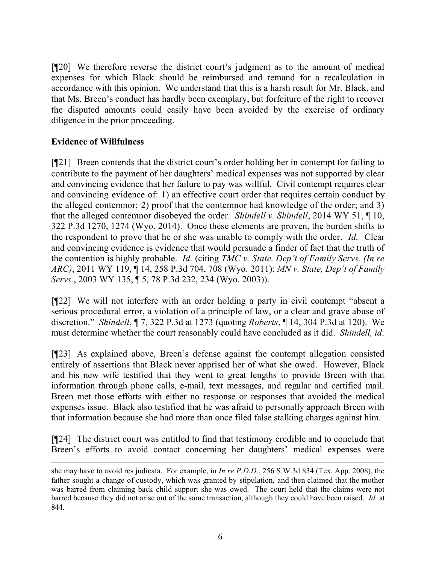[¶20] We therefore reverse the district court's judgment as to the amount of medical expenses for which Black should be reimbursed and remand for a recalculation in accordance with this opinion. We understand that this is a harsh result for Mr. Black, and that Ms. Breen's conduct has hardly been exemplary, but forfeiture of the right to recover the disputed amounts could easily have been avoided by the exercise of ordinary diligence in the prior proceeding.

## **Evidence of Willfulness**

[¶21] Breen contends that the district court's order holding her in contempt for failing to contribute to the payment of her daughters' medical expenses was not supported by clear and convincing evidence that her failure to pay was willful. Civil contempt requires clear and convincing evidence of: 1) an effective court order that requires certain conduct by the alleged contemnor; 2) proof that the contemnor had knowledge of the order; and 3) that the alleged contemnor disobeyed the order. *Shindell v. Shindell*, 2014 WY 51, ¶ 10, 322 P.3d 1270, 1274 (Wyo. 2014). Once these elements are proven, the burden shifts to the respondent to prove that he or she was unable to comply with the order. *Id.* Clear and convincing evidence is evidence that would persuade a finder of fact that the truth of the contention is highly probable. *Id*. (citing *TMC v. State, Dep't of Family Servs. (In re ARC)*, 2011 WY 119, ¶ 14, 258 P.3d 704, 708 (Wyo. 2011); *MN v. State, Dep't of Family Servs.*, 2003 WY 135, ¶ 5, 78 P.3d 232, 234 (Wyo. 2003)).

[¶22] We will not interfere with an order holding a party in civil contempt "absent a serious procedural error, a violation of a principle of law, or a clear and grave abuse of discretion." *Shindell*, ¶ 7, 322 P.3d at 1273 (quoting *Roberts*, ¶ 14, 304 P.3d at 120). We must determine whether the court reasonably could have concluded as it did. *Shindell, id*.

[¶23] As explained above, Breen's defense against the contempt allegation consisted entirely of assertions that Black never apprised her of what she owed. However, Black and his new wife testified that they went to great lengths to provide Breen with that information through phone calls, e-mail, text messages, and regular and certified mail. Breen met those efforts with either no response or responses that avoided the medical expenses issue. Black also testified that he was afraid to personally approach Breen with that information because she had more than once filed false stalking charges against him.

[¶24] The district court was entitled to find that testimony credible and to conclude that Breen's efforts to avoid contact concerning her daughters' medical expenses were

she may have to avoid res judicata. For example, in *In re P.D.D.*, 256 S.W.3d 834 (Tex. App. 2008), the father sought a change of custody, which was granted by stipulation, and then claimed that the mother was barred from claiming back child support she was owed. The court held that the claims were not barred because they did not arise out of the same transaction, although they could have been raised. *Id.* at 844.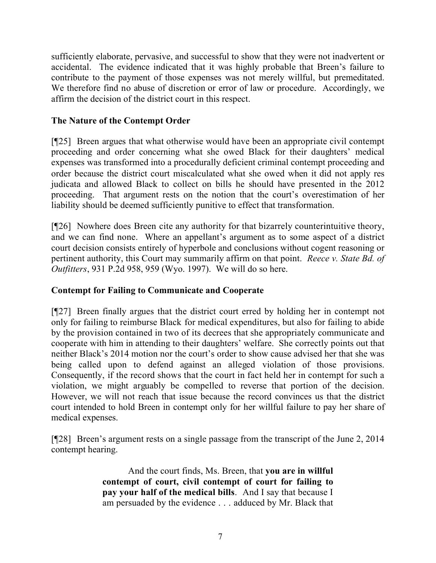sufficiently elaborate, pervasive, and successful to show that they were not inadvertent or accidental. The evidence indicated that it was highly probable that Breen's failure to contribute to the payment of those expenses was not merely willful, but premeditated. We therefore find no abuse of discretion or error of law or procedure. Accordingly, we affirm the decision of the district court in this respect.

# **The Nature of the Contempt Order**

[¶25] Breen argues that what otherwise would have been an appropriate civil contempt proceeding and order concerning what she owed Black for their daughters' medical expenses was transformed into a procedurally deficient criminal contempt proceeding and order because the district court miscalculated what she owed when it did not apply res judicata and allowed Black to collect on bills he should have presented in the 2012 proceeding. That argument rests on the notion that the court's overestimation of her liability should be deemed sufficiently punitive to effect that transformation.

[¶26] Nowhere does Breen cite any authority for that bizarrely counterintuitive theory, and we can find none. Where an appellant's argument as to some aspect of a district court decision consists entirely of hyperbole and conclusions without cogent reasoning or pertinent authority, this Court may summarily affirm on that point. *Reece v. State Bd. of Outfitters*, 931 P.2d 958, 959 (Wyo. 1997). We will do so here.

### **Contempt for Failing to Communicate and Cooperate**

[¶27] Breen finally argues that the district court erred by holding her in contempt not only for failing to reimburse Black for medical expenditures, but also for failing to abide by the provision contained in two of its decrees that she appropriately communicate and cooperate with him in attending to their daughters' welfare. She correctly points out that neither Black's 2014 motion nor the court's order to show cause advised her that she was being called upon to defend against an alleged violation of those provisions. Consequently, if the record shows that the court in fact held her in contempt for such a violation, we might arguably be compelled to reverse that portion of the decision. However, we will not reach that issue because the record convinces us that the district court intended to hold Breen in contempt only for her willful failure to pay her share of medical expenses.

[¶28] Breen's argument rests on a single passage from the transcript of the June 2, 2014 contempt hearing.

> And the court finds, Ms. Breen, that **you are in willful contempt of court, civil contempt of court for failing to pay your half of the medical bills**. And I say that because I am persuaded by the evidence . . . adduced by Mr. Black that